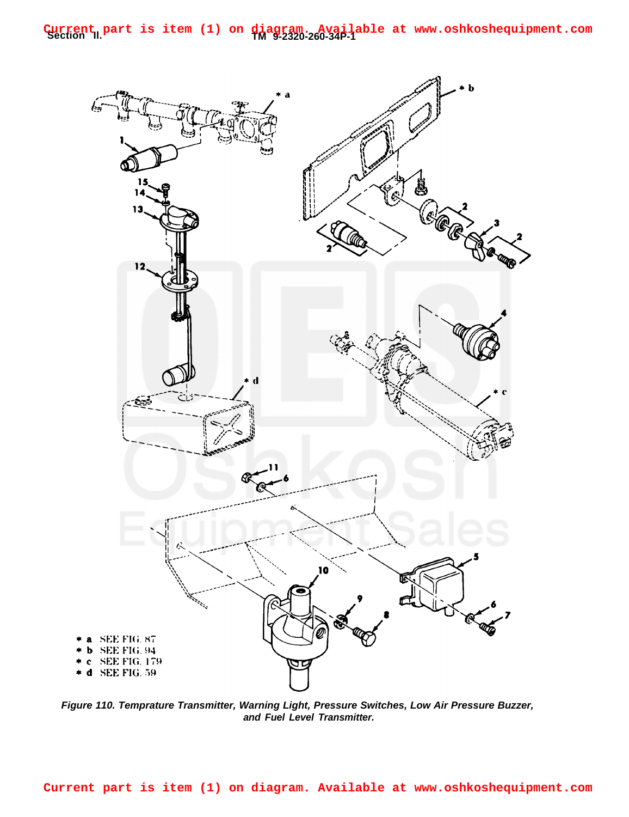**Section Il. TM 9-2320-260-34P-1 Current part is item (1) on diagram. Available at www.oshkoshequipment.com**



**Figure 110. Temprature Transmitter, Warning Light, Pressure Switches, Low Air Pressure Buzzer, and Fuel Level Transmitter.**

**Current part is item (1) on diagram. Available at www.oshkoshequipment.com**